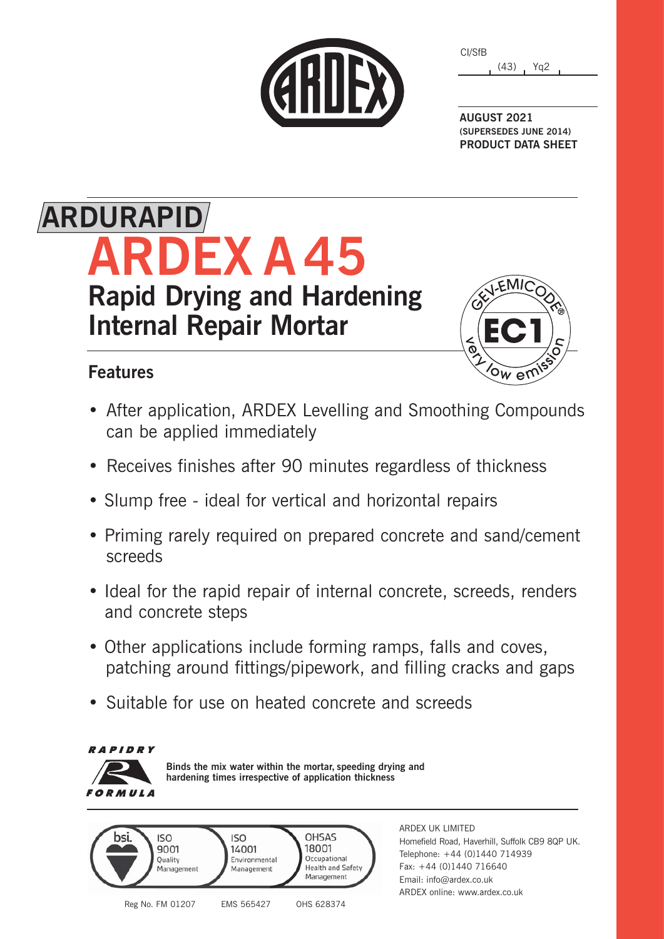|  | CHILEX |
|--|--------|
|  |        |

| CI/SfB |      |     |  |
|--------|------|-----|--|
|        | (43) | Yg2 |  |

**AUGUST 2021 (SUPERSEDES JUNE 2014) PRODUCT DATA SHEET**

# **ARDEX A 45 Rapid Drying and Hardening Internal Repair Mortar ARDURAPID**

### **Features**



- After application, ARDEX Levelling and Smoothing Compounds can be applied immediately
- Receives finishes after 90 minutes regardless of thickness
- Slump free ideal for vertical and horizontal repairs
- Priming rarely required on prepared concrete and sand/cement screeds
- Ideal for the rapid repair of internal concrete, screeds, renders and concrete steps
- Other applications include forming ramps, falls and coves, patching around fittings/pipework, and filling cracks and gaps
- Suitable for use on heated concrete and screeds